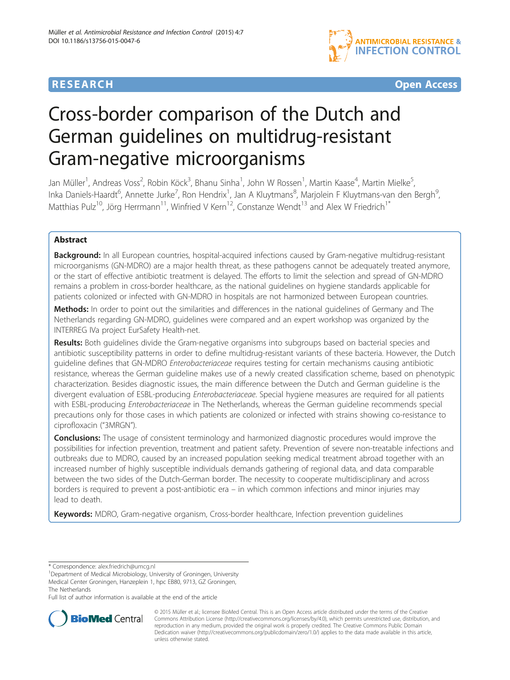# **RESEARCH CHE CHE Open Access**



# Cross-border comparison of the Dutch and German guidelines on multidrug-resistant Gram-negative microorganisms

Jan Müller<sup>1</sup>, Andreas Voss<sup>2</sup>, Robin Köck<sup>3</sup>, Bhanu Sinha<sup>1</sup>, John W Rossen<sup>1</sup>, Martin Kaase<sup>4</sup>, Martin Mielke<sup>5</sup> , Inka Daniels-Haardt<sup>6</sup>, Annette Jurke<sup>7</sup>, Ron Hendrix<sup>1</sup>, Jan A Kluytmans<sup>8</sup>, Marjolein F Kluytmans-van den Bergh<sup>s</sup> , Matthias Pulz<sup>10</sup>, Jörg Herrmann<sup>11</sup>, Winfried V Kern<sup>12</sup>, Constanze Wendt<sup>13</sup> and Alex W Friedrich<sup>1\*</sup>

# Abstract

Background: In all European countries, hospital-acquired infections caused by Gram-negative multidrug-resistant microorganisms (GN-MDRO) are a major health threat, as these pathogens cannot be adequately treated anymore, or the start of effective antibiotic treatment is delayed. The efforts to limit the selection and spread of GN-MDRO remains a problem in cross-border healthcare, as the national guidelines on hygiene standards applicable for patients colonized or infected with GN-MDRO in hospitals are not harmonized between European countries.

Methods: In order to point out the similarities and differences in the national quidelines of Germany and The Netherlands regarding GN-MDRO, guidelines were compared and an expert workshop was organized by the INTERREG IVa project EurSafety Health-net.

Results: Both guidelines divide the Gram-negative organisms into subgroups based on bacterial species and antibiotic susceptibility patterns in order to define multidrug-resistant variants of these bacteria. However, the Dutch guideline defines that GN-MDRO Enterobacteriaceae requires testing for certain mechanisms causing antibiotic resistance, whereas the German guideline makes use of a newly created classification scheme, based on phenotypic characterization. Besides diagnostic issues, the main difference between the Dutch and German guideline is the divergent evaluation of ESBL-producing *Enterobacteriaceae*. Special hygiene measures are required for all patients with ESBL-producing Enterobacteriaceae in The Netherlands, whereas the German guideline recommends special precautions only for those cases in which patients are colonized or infected with strains showing co-resistance to ciprofloxacin ("3MRGN").

**Conclusions:** The usage of consistent terminology and harmonized diagnostic procedures would improve the possibilities for infection prevention, treatment and patient safety. Prevention of severe non-treatable infections and outbreaks due to MDRO, caused by an increased population seeking medical treatment abroad together with an increased number of highly susceptible individuals demands gathering of regional data, and data comparable between the two sides of the Dutch-German border. The necessity to cooperate multidisciplinary and across borders is required to prevent a post-antibiotic era – in which common infections and minor injuries may lead to death.

Keywords: MDRO, Gram-negative organism, Cross-border healthcare, Infection prevention quidelines

\* Correspondence: [alex.friedrich@umcg.nl](mailto:alex.friedrich@umcg.nl) <sup>1</sup>

<sup>1</sup>Department of Medical Microbiology, University of Groningen, University Medical Center Groningen, Hanzeplein 1, hpc EB80, 9713, GZ Groningen, The Netherlands

Full list of author information is available at the end of the article



© 2015 Müller et al.; licensee BioMed Central. This is an Open Access article distributed under the terms of the Creative Commons Attribution License [\(http://creativecommons.org/licenses/by/4.0\)](http://creativecommons.org/licenses/by/4.0), which permits unrestricted use, distribution, and reproduction in any medium, provided the original work is properly credited. The Creative Commons Public Domain Dedication waiver [\(http://creativecommons.org/publicdomain/zero/1.0/](http://creativecommons.org/publicdomain/zero/1.0/)) applies to the data made available in this article, unless otherwise stated.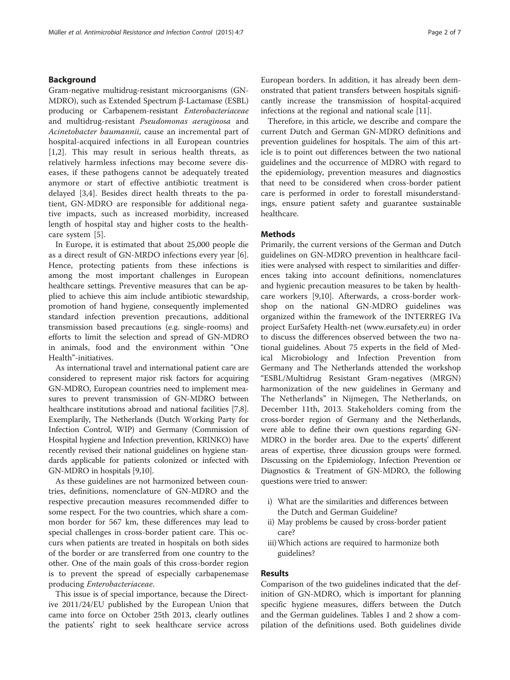## Background

Gram-negative multidrug-resistant microorganisms (GN-MDRO), such as Extended Spectrum β-Lactamase (ESBL) producing or Carbapenem-resistant Enterobacteriaceae and multidrug-resistant Pseudomonas aeruginosa and Acinetobacter baumannii, cause an incremental part of hospital-acquired infections in all European countries [[1,2](#page-6-0)]. This may result in serious health threats, as relatively harmless infections may become severe diseases, if these pathogens cannot be adequately treated anymore or start of effective antibiotic treatment is delayed [[3,4](#page-6-0)]. Besides direct health threats to the patient, GN-MDRO are responsible for additional negative impacts, such as increased morbidity, increased length of hospital stay and higher costs to the healthcare system [[5\]](#page-6-0).

In Europe, it is estimated that about 25,000 people die as a direct result of GN-MRDO infections every year [\[6](#page-6-0)]. Hence, protecting patients from these infections is among the most important challenges in European healthcare settings. Preventive measures that can be applied to achieve this aim include antibiotic stewardship, promotion of hand hygiene, consequently implemented standard infection prevention precautions, additional transmission based precautions (e.g. single-rooms) and efforts to limit the selection and spread of GN-MDRO in animals, food and the environment within "One Health"-initiatives.

As international travel and international patient care are considered to represent major risk factors for acquiring GN-MDRO, European countries need to implement measures to prevent transmission of GN-MDRO between healthcare institutions abroad and national facilities [[7](#page-6-0),[8](#page-6-0)]. Exemplarily, The Netherlands (Dutch Working Party for Infection Control, WIP) and Germany (Commission of Hospital hygiene and Infection prevention, KRINKO) have recently revised their national guidelines on hygiene standards applicable for patients colonized or infected with GN-MDRO in hospitals [\[9,10\]](#page-6-0).

As these guidelines are not harmonized between countries, definitions, nomenclature of GN-MDRO and the respective precaution measures recommended differ to some respect. For the two countries, which share a common border for 567 km, these differences may lead to special challenges in cross-border patient care. This occurs when patients are treated in hospitals on both sides of the border or are transferred from one country to the other. One of the main goals of this cross-border region is to prevent the spread of especially carbapenemase producing Enterobacteriaceae.

This issue is of special importance, because the Directive 2011/24/EU published by the European Union that came into force on October 25th 2013, clearly outlines the patients' right to seek healthcare service across

Therefore, in this article, we describe and compare the current Dutch and German GN-MDRO definitions and prevention guidelines for hospitals. The aim of this article is to point out differences between the two national guidelines and the occurrence of MDRO with regard to the epidemiology, prevention measures and diagnostics that need to be considered when cross-border patient care is performed in order to forestall misunderstandings, ensure patient safety and guarantee sustainable healthcare.

## **Methods**

Primarily, the current versions of the German and Dutch guidelines on GN-MDRO prevention in healthcare facilities were analysed with respect to similarities and differences taking into account definitions, nomenclatures and hygienic precaution measures to be taken by healthcare workers [[9,10\]](#page-6-0). Afterwards, a cross-border workshop on the national GN-MDRO guidelines was organized within the framework of the INTERREG IVa project EurSafety Health-net [\(www.eursafety.eu](http://www.eursafety.eu)) in order to discuss the differences observed between the two national guidelines. About 75 experts in the field of Medical Microbiology and Infection Prevention from Germany and The Netherlands attended the workshop "ESBL/Multidrug Resistant Gram-negatives (MRGN) harmonization of the new guidelines in Germany and The Netherlands" in Nijmegen, The Netherlands, on December 11th, 2013. Stakeholders coming from the cross-border region of Germany and the Netherlands, were able to define their own questions regarding GN-MDRO in the border area. Due to the experts' different areas of expertise, three dicussion groups were formed. Discussing on the Epidemiology, Infection Prevention or Diagnostics & Treatment of GN-MDRO, the following questions were tried to answer:

- i) What are the similarities and differences between the Dutch and German Guideline?
- ii) May problems be caused by cross-border patient care?
- iii)Which actions are required to harmonize both guidelines?

### Results

Comparison of the two guidelines indicated that the definition of GN-MDRO, which is important for planning specific hygiene measures, differs between the Dutch and the German guidelines. Tables [1](#page-2-0) and [2](#page-2-0) show a compilation of the definitions used. Both guidelines divide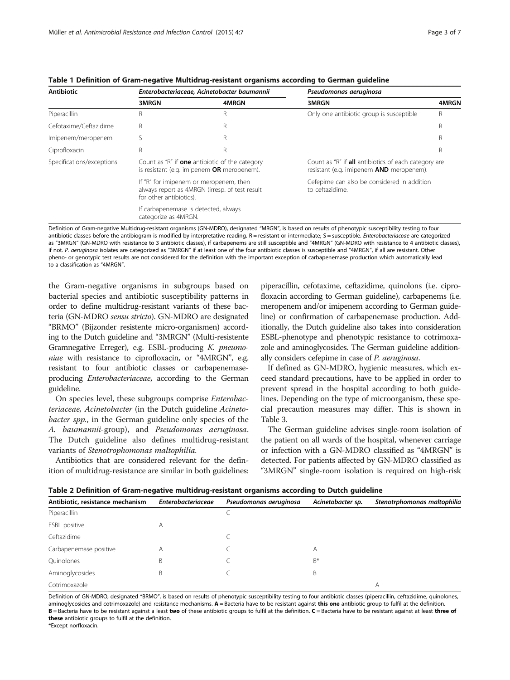| <b>Antibiotic</b>         | Enterobacteriaceae, Acinetobacter baumannii                                                                         |              | Pseudomonas aeruginosa                                                                           |       |  |
|---------------------------|---------------------------------------------------------------------------------------------------------------------|--------------|--------------------------------------------------------------------------------------------------|-------|--|
|                           | 3MRGN                                                                                                               | <b>4MRGN</b> | <b>3MRGN</b>                                                                                     | 4MRGN |  |
| Piperacillin              | R                                                                                                                   | R            | Only one antibiotic group is susceptible                                                         | R     |  |
| Cefotaxime/Ceftazidime    | R                                                                                                                   | R            |                                                                                                  |       |  |
| Imipenem/meropenem        |                                                                                                                     | R            |                                                                                                  |       |  |
| Ciprofloxacin             | R                                                                                                                   | R            |                                                                                                  |       |  |
| Specifications/exceptions | Count as "R" if <b>one</b> antibiotic of the category<br>is resistant (e.g. imipenem OR meropenem).                 |              | Count as "R" if all antibiotics of each category are<br>resistant (e.g. imipenem AND meropenem). |       |  |
|                           | If "R" for imipenem or meropenem, then<br>always report as 4MRGN (irresp. of test result<br>for other antibiotics). |              | Cefepime can also be considered in addition<br>to ceftazidime.                                   |       |  |
|                           | If carbapenemase is detected, always<br>categorize as 4MRGN.                                                        |              |                                                                                                  |       |  |

<span id="page-2-0"></span>Table 1 Definition of Gram-negative Multidrug-resistant organisms according to German guideline

Definition of Gram-negative Multidrug-resistant organisms (GN-MDRO), designated "MRGN", is based on results of phenotypic susceptibility testing to four antibiotic classes before the antibiogram is modified by interpretative reading. R = resistant or intermediate; S = susceptible. Enterobacteriaceae are categorized as "3MRGN" (GN-MDRO with resistance to 3 antibiotic classes), if carbapenems are still susceptible and "4MRGN" (GN-MDRO with resistance to 4 antibiotic classes), if not. P. aeruginosa isolates are categorized as "3MRGN" if at least one of the four antibiotic classes is susceptible and "4MRGN", if all are resistant. Other pheno- or genotypic test results are not considered for the definition with the important exception of carbapenemase production which automatically lead to a classification as "4MRGN".

the Gram-negative organisms in subgroups based on bacterial species and antibiotic susceptibility patterns in order to define multidrug-resistant variants of these bacteria (GN-MDRO sensu stricto). GN-MDRO are designated "BRMO" (Bijzonder resistente micro-organismen) according to the Dutch guideline and "3MRGN" (Multi-resistente Gramnegative Erreger), e.g. ESBL-producing K. pneumoniae with resistance to ciprofloxacin, or "4MRGN", e.g. resistant to four antibiotic classes or carbapenemaseproducing Enterobacteriaceae, according to the German guideline.

On species level, these subgroups comprise Enterobacteriaceae, Acinetobacter (in the Dutch guideline Acinetobacter spp., in the German guideline only species of the A. baumannii-group), and Pseudomonas aeruginosa. The Dutch guideline also defines multidrug-resistant variants of Stenotrophomonas maltophilia.

Antibiotics that are considered relevant for the definition of multidrug-resistance are similar in both guidelines: piperacillin, cefotaxime, ceftazidime, quinolons (i.e. ciprofloxacin according to German guideline), carbapenems (i.e. meropenem and/or imipenem according to German guideline) or confirmation of carbapenemase production. Additionally, the Dutch guideline also takes into consideration ESBL-phenotype and phenotypic resistance to cotrimoxazole and aminoglycosides. The German guideline additionally considers cefepime in case of P. aeruginosa.

If defined as GN-MDRO, hygienic measures, which exceed standard precautions, have to be applied in order to prevent spread in the hospital according to both guidelines. Depending on the type of microorganism, these special precaution measures may differ. This is shown in Table [3.](#page-3-0)

The German guideline advises single-room isolation of the patient on all wards of the hospital, whenever carriage or infection with a GN-MDRO classified as "4MRGN" is detected. For patients affected by GN-MDRO classified as "3MRGN" single-room isolation is required on high-risk

|  | Table 2 Definition of Gram-negative multidrug-resistant organisms according to Dutch guideline |  |
|--|------------------------------------------------------------------------------------------------|--|
|  |                                                                                                |  |

| Antibiotic, resistance mechanism | Enterobacteriaceae | Pseudomonas aeruginosa | Acinetobacter sp. | Stenotrphomonas maltophilia |
|----------------------------------|--------------------|------------------------|-------------------|-----------------------------|
| Piperacillin                     |                    |                        |                   |                             |
| ESBL positive                    | Α                  |                        |                   |                             |
| Ceftazidime                      |                    |                        |                   |                             |
| Carbapenemase positive           | Α                  |                        | A                 |                             |
| Quinolones                       | B                  |                        | B <sup>*</sup>    |                             |
| Aminoglycosides                  | B                  |                        | B                 |                             |
| Cotrimoxazole                    |                    |                        |                   | А                           |

Definition of GN-MDRO, designated "BRMO", is based on results of phenotypic susceptibility testing to four antibiotic classes (piperacillin, ceftazidime, quinolones, aminoglycosides and cotrimoxazole) and resistance mechanisms. A = Bacteria have to be resistant against this one antibiotic group to fulfil at the definition. B = Bacteria have to be resistant against a least two of these antibiotic groups to fulfil at the definition. C = Bacteria have to be resistant against at least three of these antibiotic groups to fulfil at the definition.

\*Except norfloxacin.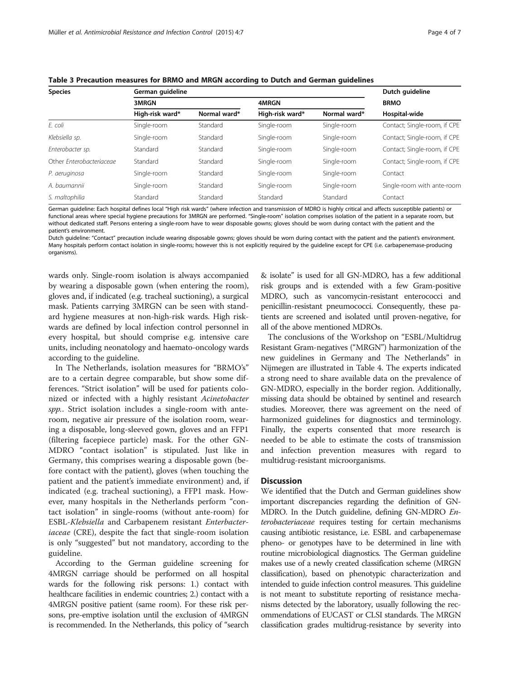<span id="page-3-0"></span>

| <b>Species</b>           | German guideline |              |                 |              | Dutch quideline              |  |
|--------------------------|------------------|--------------|-----------------|--------------|------------------------------|--|
|                          | <b>3MRGN</b>     |              | <b>4MRGN</b>    |              | <b>BRMO</b>                  |  |
|                          | High-risk ward*  | Normal ward* | High-risk ward* | Normal ward* | Hospital-wide                |  |
| E. coli                  | Single-room      | Standard     | Single-room     | Single-room  | Contact; Single-room, if CPE |  |
| Klebsiella sp.           | Single-room      | Standard     | Single-room     | Single-room  | Contact; Single-room, if CPE |  |
| Enterobacter sp.         | Standard         | Standard     | Single-room     | Single-room  | Contact; Single-room, if CPE |  |
| Other Enterobacteriaceae | Standard         | Standard     | Single-room     | Single-room  | Contact; Single-room, if CPE |  |
| P. aeruginosa            | Single-room      | Standard     | Single-room     | Single-room  | Contact                      |  |
| A. baumannii             | Single-room      | Standard     | Single-room     | Single-room  | Single-room with ante-room   |  |
| S. maltophilia           | Standard         | Standard     | Standard        | Standard     | Contact                      |  |

functional areas where special hygiene precautions for 3MRGN are performed. "Single-room" isolation comprises isolation of the patient in a separate room, but without dedicated staff. Persons entering a single-room have to wear disposable gowns; gloves should be worn during contact with the patient and the patient's environment.

Dutch guideline: "Contact" precaution include wearing disposable gowns; gloves should be worn during contact with the patient and the patient's environment. Many hospitals perform contact isolation in single-rooms; however this is not explicitly required by the guideline except for CPE (i.e. carbapenemase-producing organisms).

wards only. Single-room isolation is always accompanied by wearing a disposable gown (when entering the room), gloves and, if indicated (e.g. tracheal suctioning), a surgical mask. Patients carrying 3MRGN can be seen with standard hygiene measures at non-high-risk wards. High riskwards are defined by local infection control personnel in every hospital, but should comprise e.g. intensive care units, including neonatology and haemato-oncology wards according to the guideline.

In The Netherlands, isolation measures for "BRMO's" are to a certain degree comparable, but show some differences. "Strict isolation" will be used for patients colonized or infected with a highly resistant Acinetobacter spp.. Strict isolation includes a single-room with anteroom, negative air pressure of the isolation room, wearing a disposable, long-sleeved gown, gloves and an FFP1 (filtering facepiece particle) mask. For the other GN-MDRO "contact isolation" is stipulated. Just like in Germany, this comprises wearing a disposable gown (before contact with the patient), gloves (when touching the patient and the patient's immediate environment) and, if indicated (e.g. tracheal suctioning), a FFP1 mask. However, many hospitals in the Netherlands perform "contact isolation" in single-rooms (without ante-room) for ESBL-Klebsiella and Carbapenem resistant Enterbacteriaceae (CRE), despite the fact that single-room isolation is only "suggested" but not mandatory, according to the guideline.

According to the German guideline screening for 4MRGN carriage should be performed on all hospital wards for the following risk persons: 1.) contact with healthcare facilities in endemic countries; 2.) contact with a 4MRGN positive patient (same room). For these risk persons, pre-emptive isolation until the exclusion of 4MRGN is recommended. In the Netherlands, this policy of "search

& isolate" is used for all GN-MDRO, has a few additional risk groups and is extended with a few Gram-positive MDRO, such as vancomycin-resistant enterococci and penicillin-resistant pneumococci. Consequently, these patients are screened and isolated until proven-negative, for all of the above mentioned MDROs.

The conclusions of the Workshop on "ESBL/Multidrug Resistant Gram-negatives ("MRGN") harmonization of the new guidelines in Germany and The Netherlands" in Nijmegen are illustrated in Table [4.](#page-4-0) The experts indicated a strong need to share available data on the prevalence of GN-MDRO, especially in the border region. Additionally, missing data should be obtained by sentinel and research studies. Moreover, there was agreement on the need of harmonized guidelines for diagnostics and terminology. Finally, the experts consented that more research is needed to be able to estimate the costs of transmission and infection prevention measures with regard to multidrug-resistant microorganisms.

# **Discussion**

We identified that the Dutch and German guidelines show important discrepancies regarding the definition of GN-MDRO. In the Dutch guideline, defining GN-MDRO Enterobacteriaceae requires testing for certain mechanisms causing antibiotic resistance, i.e. ESBL and carbapenemase pheno- or genotypes have to be determined in line with routine microbiological diagnostics. The German guideline makes use of a newly created classification scheme (MRGN classification), based on phenotypic characterization and intended to guide infection control measures. This guideline is not meant to substitute reporting of resistance mechanisms detected by the laboratory, usually following the recommendations of EUCAST or CLSI standards. The MRGN classification grades multidrug-resistance by severity into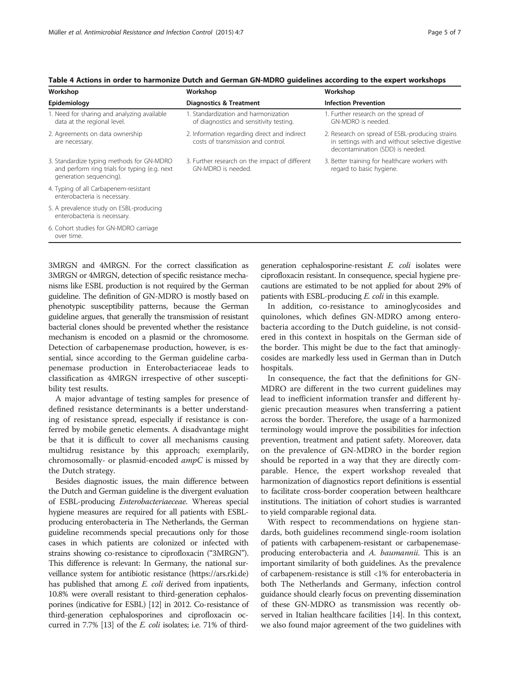| Workshop                                                                                                              | Workshop                                                                           | Workshop                                                                                                                                |  |
|-----------------------------------------------------------------------------------------------------------------------|------------------------------------------------------------------------------------|-----------------------------------------------------------------------------------------------------------------------------------------|--|
| Epidemiology                                                                                                          | <b>Diagnostics &amp; Treatment</b>                                                 | <b>Infection Prevention</b>                                                                                                             |  |
| 1. Need for sharing and analyzing available<br>data at the regional level.                                            | 1. Standardization and harmonization<br>of diagnostics and sensitivity testing.    | 1. Further research on the spread of<br>GN-MDRO is needed.                                                                              |  |
| 2. Agreements on data ownership<br>are necessary.                                                                     | 2. Information regarding direct and indirect<br>costs of transmission and control. | 2. Research on spread of ESBL-producing strains<br>in settings with and without selective digestive<br>decontamination (SDD) is needed. |  |
| 3. Standardize typing methods for GN-MDRO<br>and perform ring trials for typing (e.g. next<br>generation sequencing). | 3. Further research on the impact of different<br>GN-MDRO is needed.               | 3. Better training for healthcare workers with<br>regard to basic hygiene.                                                              |  |
| 4. Typing of all Carbapenem-resistant<br>enterobacteria is necessary.                                                 |                                                                                    |                                                                                                                                         |  |
| 5. A prevalence study on ESBL-producing<br>enterobacteria is necessary.                                               |                                                                                    |                                                                                                                                         |  |
| 6. Cohort studies for GN-MDRO carriage<br>over time.                                                                  |                                                                                    |                                                                                                                                         |  |

<span id="page-4-0"></span>Table 4 Actions in order to harmonize Dutch and German GN-MDRO guidelines according to the expert workshops

3MRGN and 4MRGN. For the correct classification as 3MRGN or 4MRGN, detection of specific resistance mechanisms like ESBL production is not required by the German guideline. The definition of GN-MDRO is mostly based on phenotypic susceptibility patterns, because the German guideline argues, that generally the transmission of resistant bacterial clones should be prevented whether the resistance mechanism is encoded on a plasmid or the chromosome. Detection of carbapenemase production, however, is essential, since according to the German guideline carbapenemase production in Enterobacteriaceae leads to classification as 4MRGN irrespective of other susceptibility test results.

A major advantage of testing samples for presence of defined resistance determinants is a better understanding of resistance spread, especially if resistance is conferred by mobile genetic elements. A disadvantage might be that it is difficult to cover all mechanisms causing multidrug resistance by this approach; exemplarily, chromosomally- or plasmid-encoded ampC is missed by the Dutch strategy.

Besides diagnostic issues, the main difference between the Dutch and German guideline is the divergent evaluation of ESBL-producing Enterobacteriaeceae. Whereas special hygiene measures are required for all patients with ESBLproducing enterobacteria in The Netherlands, the German guideline recommends special precautions only for those cases in which patients are colonized or infected with strains showing co-resistance to ciprofloxacin ("3MRGN"). This difference is relevant: In Germany, the national surveillance system for antibiotic resistance [\(https://ars.rki.de](https://ars.rki.de)) has published that among *E. coli* derived from inpatients, 10.8% were overall resistant to third-generation cephalosporines (indicative for ESBL) [[12\]](#page-6-0) in 2012. Co-resistance of third-generation cephalosporines and ciprofloxacin occurred in 7.7% [[13](#page-6-0)] of the E. coli isolates; i.e. 71% of thirdgeneration cephalosporine-resistant E. coli isolates were ciprofloxacin resistant. In consequence, special hygiene precautions are estimated to be not applied for about 29% of patients with ESBL-producing *E. coli* in this example.

In addition, co-resistance to aminoglycosides and quinolones, which defines GN-MDRO among enterobacteria according to the Dutch guideline, is not considered in this context in hospitals on the German side of the border. This might be due to the fact that aminoglycosides are markedly less used in German than in Dutch hospitals.

In consequence, the fact that the definitions for GN-MDRO are different in the two current guidelines may lead to inefficient information transfer and different hygienic precaution measures when transferring a patient across the border. Therefore, the usage of a harmonized terminology would improve the possibilities for infection prevention, treatment and patient safety. Moreover, data on the prevalence of GN-MDRO in the border region should be reported in a way that they are directly comparable. Hence, the expert workshop revealed that harmonization of diagnostics report definitions is essential to facilitate cross-border cooperation between healthcare institutions. The initiation of cohort studies is warranted to yield comparable regional data.

With respect to recommendations on hygiene standards, both guidelines recommend single-room isolation of patients with carbapenem-resistant or carbapenemaseproducing enterobacteria and A. baumannii. This is an important similarity of both guidelines. As the prevalence of carbapenem-resistance is still <1% for enterobacteria in both The Netherlands and Germany, infection control guidance should clearly focus on preventing dissemination of these GN-MDRO as transmission was recently observed in Italian healthcare facilities [[14](#page-6-0)]. In this context, we also found major agreement of the two guidelines with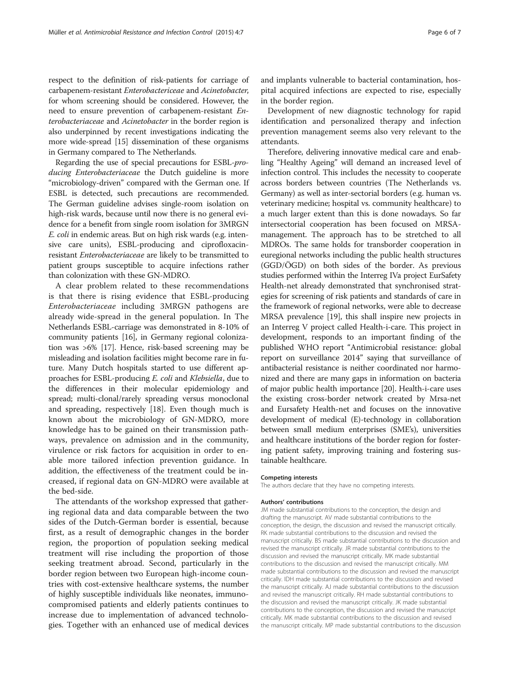respect to the definition of risk-patients for carriage of carbapenem-resistant Enterobactericeae and Acinetobacter, for whom screening should be considered. However, the need to ensure prevention of carbapenem-resistant Enterobacteriaceae and Acinetobacter in the border region is also underpinned by recent investigations indicating the more wide-spread [\[15\]](#page-6-0) dissemination of these organisms in Germany compared to The Netherlands.

Regarding the use of special precautions for ESBL-producing Enterobacteriaceae the Dutch guideline is more "microbiology-driven" compared with the German one. If ESBL is detected, such precautions are recommended. The German guideline advises single-room isolation on high-risk wards, because until now there is no general evidence for a benefit from single room isolation for 3MRGN E. coli in endemic areas. But on high risk wards (e.g. intensive care units), ESBL-producing and ciprofloxacinresistant Enterobacteriaceae are likely to be transmitted to patient groups susceptible to acquire infections rather than colonization with these GN-MDRO.

A clear problem related to these recommendations is that there is rising evidence that ESBL-producing Enterobacteriaceae including 3MRGN pathogens are already wide-spread in the general population. In The Netherlands ESBL-carriage was demonstrated in 8-10% of community patients [\[16](#page-6-0)], in Germany regional colonization was >6% [\[17\]](#page-6-0). Hence, risk-based screening may be misleading and isolation facilities might become rare in future. Many Dutch hospitals started to use different approaches for ESBL-producing E. coli and Klebsiella, due to the differences in their molecular epidemiology and spread; multi-clonal/rarely spreading versus monoclonal and spreading, respectively [\[18](#page-6-0)]. Even though much is known about the microbiology of GN-MDRO, more knowledge has to be gained on their transmission pathways, prevalence on admission and in the community, virulence or risk factors for acquisition in order to enable more tailored infection prevention guidance. In addition, the effectiveness of the treatment could be increased, if regional data on GN-MDRO were available at the bed-side.

The attendants of the workshop expressed that gathering regional data and data comparable between the two sides of the Dutch-German border is essential, because first, as a result of demographic changes in the border region, the proportion of population seeking medical treatment will rise including the proportion of those seeking treatment abroad. Second, particularly in the border region between two European high-income countries with cost-extensive healthcare systems, the number of highly susceptible individuals like neonates, immunocompromised patients and elderly patients continues to increase due to implementation of advanced technologies. Together with an enhanced use of medical devices

and implants vulnerable to bacterial contamination, hospital acquired infections are expected to rise, especially in the border region.

Development of new diagnostic technology for rapid identification and personalized therapy and infection prevention management seems also very relevant to the attendants.

Therefore, delivering innovative medical care and enabling "Healthy Ageing" will demand an increased level of infection control. This includes the necessity to cooperate across borders between countries (The Netherlands vs. Germany) as well as inter-sectorial borders (e.g. human vs. veterinary medicine; hospital vs. community healthcare) to a much larger extent than this is done nowadays. So far intersectorial cooperation has been focused on MRSAmanagement. The approach has to be stretched to all MDROs. The same holds for transborder cooperation in euregional networks including the public health structures (GGD/ÖGD) on both sides of the border. As previous studies performed within the Interreg IVa project EurSafety Health-net already demonstrated that synchronised strategies for screening of risk patients and standards of care in the framework of regional networks, were able to decrease MRSA prevalence [[19\]](#page-6-0), this shall inspire new projects in an Interreg V project called Health-i-care. This project in development, responds to an important finding of the published WHO report "Antimicrobial resistance: global report on surveillance 2014" saying that surveillance of antibacterial resistance is neither coordinated nor harmonized and there are many gaps in information on bacteria of major public health importance [\[20\]](#page-6-0). Health-i-care uses the existing cross-border network created by Mrsa-net and Eursafety Health-net and focuses on the innovative development of medical (E)-technology in collaboration between small medium enterprises (SME's), universities and healthcare institutions of the border region for fostering patient safety, improving training and fostering sustainable healthcare.

#### Competing interests

The authors declare that they have no competing interests.

#### Authors' contributions

JM made substantial contributions to the conception, the design and drafting the manuscript. AV made substantial contributions to the conception, the design, the discussion and revised the manuscript critically. RK made substantial contributions to the discussion and revised the manuscript critically. BS made substantial contributions to the discussion and revised the manuscript critically. JR made substantial contributions to the discussion and revised the manuscript critically. MK made substantial contributions to the discussion and revised the manuscript critically. MM made substantial contributions to the discussion and revised the manuscript critically. IDH made substantial contributions to the discussion and revised the manuscript critically. AJ made substantial contributions to the discussion and revised the manuscript critically. RH made substantial contributions to the discussion and revised the manuscript critically. JK made substantial contributions to the conception, the discussion and revised the manuscript critically. MK made substantial contributions to the discussion and revised the manuscript critically. MP made substantial contributions to the discussion